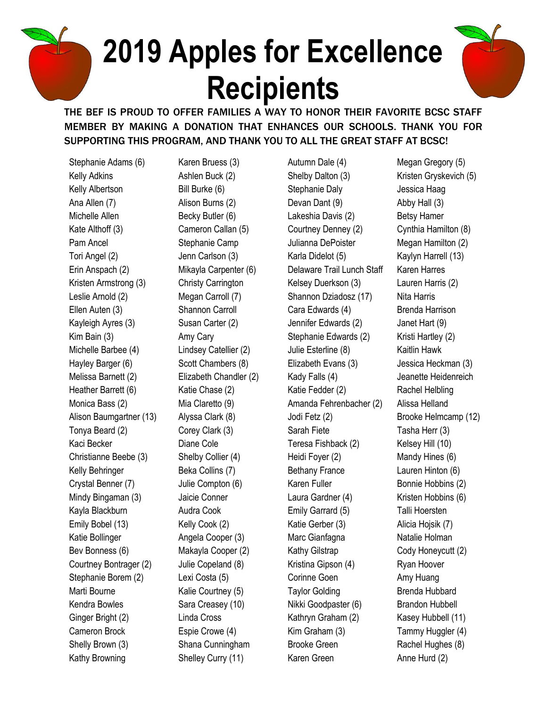## **2019 Apples for Excellence Recipients**



THE BEF IS PROUD TO OFFER FAMILIES A WAY TO HONOR THEIR FAVORITE BCSC STAFF MEMBER BY MAKING A DONATION THAT ENHANCES OUR SCHOOLS. THANK YOU FOR SUPPORTING THIS PROGRAM, AND THANK YOU TO ALL THE GREAT STAFF AT BCSC!

Stephanie Adams (6) Kelly Adkins Kelly Albertson Ana Allen (7) Michelle Allen Kate Althoff (3) Pam Ancel Tori Angel (2) Erin Anspach (2) Kristen Armstrong (3) Leslie Arnold (2) Ellen Auten (3) Kayleigh Ayres (3) Kim Bain (3) Michelle Barbee (4) Hayley Barger (6) Melissa Barnett (2) Heather Barrett (6) Monica Bass (2) Alison Baumgartner (13) Tonya Beard (2) Kaci Becker Christianne Beebe (3) Kelly Behringer Crystal Benner (7) Mindy Bingaman (3) Kayla Blackburn Emily Bobel (13) Katie Bollinger Bev Bonness (6) Courtney Bontrager (2) Stephanie Borem (2) Marti Bourne Kendra Bowles Ginger Bright (2) Cameron Brock Shelly Brown (3) Kathy Browning

Karen Bruess (3) Ashlen Buck (2) Bill Burke (6) Alison Burns (2) Becky Butler (6) Cameron Callan (5) Stephanie Camp Jenn Carlson (3) Mikayla Carpenter (6) Christy Carrington Megan Carroll (7) Shannon Carroll Susan Carter (2) Amy Cary Lindsey Catellier (2) Scott Chambers (8) Elizabeth Chandler (2) Katie Chase (2) Mia Claretto (9) Alyssa Clark (8) Corey Clark (3) Diane Cole Shelby Collier (4) Beka Collins (7) Julie Compton (6) Jaicie Conner Audra Cook Kelly Cook (2) Angela Cooper (3) Makayla Cooper (2) Julie Copeland (8) Lexi Costa (5) Kalie Courtney (5) Sara Creasey (10) Linda Cross Espie Crowe (4) Shana Cunningham Shelley Curry (11)

Autumn Dale (4) Shelby Dalton (3) Stephanie Daly Devan Dant (9) Lakeshia Davis (2) Courtney Denney (2) Julianna DePoister Karla Didelot (5) Delaware Trail Lunch Staff Kelsey Duerkson (3) Shannon Dziadosz (17) Cara Edwards (4) Jennifer Edwards (2) Stephanie Edwards (2) Julie Esterline (8) Elizabeth Evans (3) Kady Falls (4) Katie Fedder (2) Amanda Fehrenbacher (2) Jodi Fetz (2) Sarah Fiete Teresa Fishback (2) Heidi Foyer (2) Bethany France Karen Fuller Laura Gardner (4) Emily Garrard (5) Katie Gerber (3) Marc Gianfagna Kathy Gilstrap Kristina Gipson (4) Corinne Goen Taylor Golding Nikki Goodpaster (6) Kathryn Graham (2) Kim Graham (3) Brooke Green Karen Green

Megan Gregory (5) Kristen Gryskevich (5) Jessica Haag Abby Hall (3) Betsy Hamer Cynthia Hamilton (8) Megan Hamilton (2) Kaylyn Harrell (13) Karen Harres Lauren Harris (2) Nita Harris Brenda Harrison Janet Hart (9) Kristi Hartley (2) Kaitlin Hawk Jessica Heckman (3) Jeanette Heidenreich Rachel Helbling Alissa Helland Brooke Helmcamp (12) Tasha Herr (3) Kelsey Hill (10) Mandy Hines (6) Lauren Hinton (6) Bonnie Hobbins (2) Kristen Hobbins (6) Talli Hoersten Alicia Hojsik (7) Natalie Holman Cody Honeycutt (2) Ryan Hoover Amy Huang Brenda Hubbard Brandon Hubbell Kasey Hubbell (11) Tammy Huggler (4) Rachel Hughes (8) Anne Hurd (2)